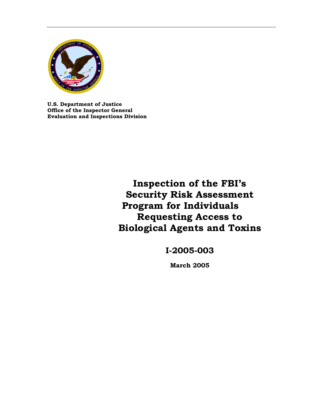

**U.S. Department of Justice Office of the Inspector General Evaluation and Inspections Division**

> **Inspection of the FBI's Security Risk Assessment Program for Individuals Requesting Access to Biological Agents and Toxins**

> > **I-2005-003**

**March 2005**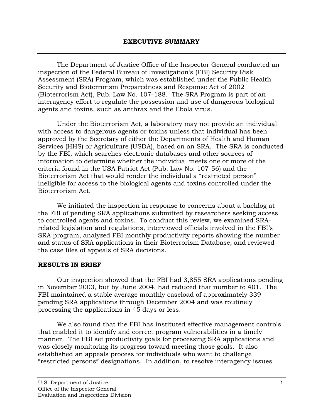The Department of Justice Office of the Inspector General conducted an inspection of the Federal Bureau of Investigation's (FBI) Security Risk Assessment (SRA) Program, which was established under the Public Health Security and Bioterrorism Preparedness and Response Act of 2002 (Bioterrorism Act), Pub. Law No. 107-188. The SRA Program is part of an interagency effort to regulate the possession and use of dangerous biological agents and toxins, such as anthrax and the Ebola virus.

Under the Bioterrorism Act, a laboratory may not provide an individual with access to dangerous agents or toxins unless that individual has been approved by the Secretary of either the Departments of Health and Human Services (HHS) or Agriculture (USDA), based on an SRA. The SRA is conducted by the FBI, which searches electronic databases and other sources of information to determine whether the individual meets one or more of the criteria found in the USA Patriot Act (Pub. Law No. 107-56) and the Bioterrorism Act that would render the individual a "restricted person" ineligible for access to the biological agents and toxins controlled under the Bioterrorism Act.

We initiated the inspection in response to concerns about a backlog at the FBI of pending SRA applications submitted by researchers seeking access to controlled agents and toxins. To conduct this review, we examined SRArelated legislation and regulations, interviewed officials involved in the FBI's SRA program, analyzed FBI monthly productivity reports showing the number and status of SRA applications in their Bioterrorism Database, and reviewed the case files of appeals of SRA decisions.

### **RESULTS IN BRIEF**

Our inspection showed that the FBI had 3,855 SRA applications pending in November 2003, but by June 2004, had reduced that number to 401. The FBI maintained a stable average monthly caseload of approximately 339 pending SRA applications through December 2004 and was routinely processing the applications in 45 days or less.

We also found that the FBI has instituted effective management controls that enabled it to identify and correct program vulnerabilities in a timely manner. The FBI set productivity goals for processing SRA applications and was closely monitoring its progress toward meeting those goals. It also established an appeals process for individuals who want to challenge "restricted persons" designations. In addition, to resolve interagency issues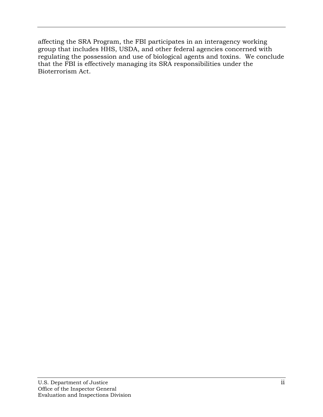affecting the SRA Program, the FBI participates in an interagency working group that includes HHS, USDA, and other federal agencies concerned with regulating the possession and use of biological agents and toxins. We conclude that the FBI is effectively managing its SRA responsibilities under the Bioterrorism Act.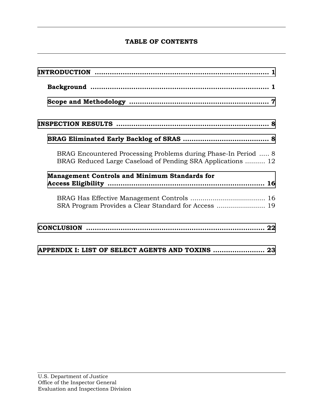# **TABLE OF CONTENTS**

| BRAG Encountered Processing Problems during Phase-In Period  8<br>BRAG Reduced Large Caseload of Pending SRA Applications  12 |
|-------------------------------------------------------------------------------------------------------------------------------|
| <b>Management Controls and Minimum Standards for</b>                                                                          |
| SRA Program Provides a Clear Standard for Access  19                                                                          |
|                                                                                                                               |
| APPENDIX I: LIST OF SELECT AGENTS AND TOXINS  23                                                                              |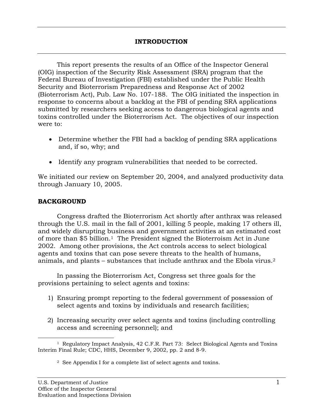<span id="page-4-0"></span>This report presents the results of an Office of the Inspector General (OIG) inspection of the Security Risk Assessment (SRA) program that the Federal Bureau of Investigation (FBI) established under the Public Health Security and Bioterrorism Preparedness and Response Act of 2002 (Bioterrorism Act), Pub. Law No. 107-188. The OIG initiated the inspection in response to concerns about a backlog at the FBI of pending SRA applications submitted by researchers seeking access to dangerous biological agents and toxins controlled under the Bioterrorism Act. The objectives of our inspection were to:

- Determine whether the FBI had a backlog of pending SRA applications and, if so, why; and
- Identify any program vulnerabilities that needed to be corrected.

We initiated our review on September 20, 2004, and analyzed productivity data through January 10, 2005.

## **BACKGROUND**

Congress drafted the Bioterrorism Act shortly after anthrax was released through the U.S. mail in the fall of 2001, killing 5 people, making 17 others ill, and widely disrupting business and government activities at an estimated cost of more than \$5 billion[.1](#page-4-1) The President signed the Bioterroism Act in June 2002. Among other provisions, the Act controls access to select biological agents and toxins that can pose severe threats to the health of humans, animals, and plants – substances that include anthrax and the Ebola virus.[2](#page-4-2) 

In passing the Bioterrorism Act, Congress set three goals for the provisions pertaining to select agents and toxins:

- 1) Ensuring prompt reporting to the federal government of possession of select agents and toxins by individuals and research facilities;
- 2) Increasing security over select agents and toxins (including controlling access and screening personnel); and

<sup>—&</sup>lt;br>— <sup>1</sup> Regulatory Impact Analysis, 42 C.F.R. Part 73: Select Biological Agents and Toxins Interim Final Rule; CDC, HHS, December 9, 2002, pp. 2 and 8-9.

<span id="page-4-2"></span><span id="page-4-1"></span><sup>2</sup> See Appendix I for a complete list of select agents and toxins.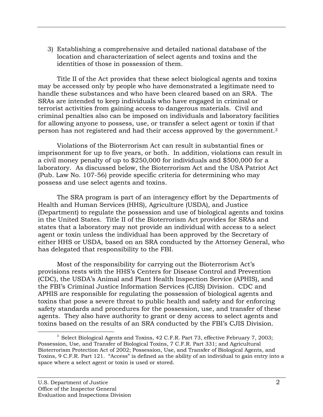3) Establishing a comprehensive and detailed national database of the location and characterization of select agents and toxins and the identities of those in possession of them.

Title II of the Act provides that these select biological agents and toxins may be accessed only by people who have demonstrated a legitimate need to handle these substances and who have been cleared based on an SRA. The SRAs are intended to keep individuals who have engaged in criminal or terrorist activities from gaining access to dangerous materials. Civil and criminal penalties also can be imposed on individuals and laboratory facilities for allowing anyone to possess, use, or transfer a select agent or toxin if that person has not registered and had their access approved by the government.[3](#page-5-0) 

Violations of the Bioterrorism Act can result in substantial fines or imprisonment for up to five years, or both. In addition, violations can result in a civil money penalty of up to \$250,000 for individuals and \$500,000 for a laboratory. As discussed below, the Bioterrorism Act and the USA Patriot Act (Pub. Law No. 107-56) provide specific criteria for determining who may possess and use select agents and toxins.

The SRA program is part of an interagency effort by the Departments of Health and Human Services (HHS), Agriculture (USDA), and Justice (Department) to regulate the possession and use of biological agents and toxins in the United States. Title II of the Bioterrorism Act provides for SRAs and states that a laboratory may not provide an individual with access to a select agent or toxin unless the individual has been approved by the Secretary of either HHS or USDA, based on an SRA conducted by the Attorney General, who has delegated that responsibility to the FBI.

Most of the responsibility for carrying out the Bioterrorism Act's provisions rests with the HHS's Centers for Disease Control and Prevention (CDC), the USDA's Animal and Plant Health Inspection Service (APHIS), and the FBI's Criminal Justice Information Services (CJIS) Division. CDC and APHIS are responsible for regulating the possession of biological agents and toxins that pose a severe threat to public health and safety and for enforcing safety standards and procedures for the possession, use, and transfer of these agents. They also have authority to grant or deny access to select agents and toxins based on the results of an SRA conducted by the FBI's CJIS Division.

<span id="page-5-0"></span> $\frac{1}{3}$  $3$  Select Biological Agents and Toxins, 42 C.F.R. Part 73, effective February 7, 2003; Possession, Use, and Transfer of Biological Toxins, 7 C.F.R. Part 331; and Agricultural Bioterrorism Protection Act of 2002; Possession, Use, and Transfer of Biological Agents, and Toxins, 9 C.F.R. Part 121. "Access" is defined as the ability of an individual to gain entry into a space where a select agent or toxin is used or stored.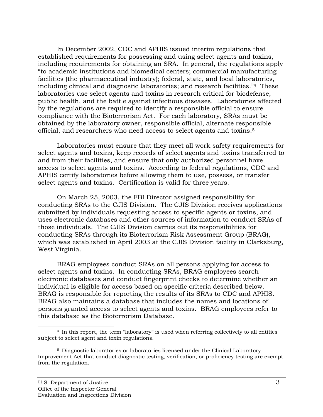In December 2002, CDC and APHIS issued interim regulations that established requirements for possessing and using select agents and toxins, including requirements for obtaining an SRA. In general, the regulations apply "to academic institutions and biomedical centers; commercial manufacturing facilities (the pharmaceutical industry); federal, state, and local laboratories, including clinical and diagnostic laboratories; and research facilities."[4](#page-6-0) These laboratories use select agents and toxins in research critical for biodefense, public health, and the battle against infectious diseases. Laboratories affected by the regulations are required to identify a responsible official to ensure compliance with the Bioterrorism Act. For each laboratory, SRAs must be obtained by the laboratory owner, responsible official, alternate responsible official, and researchers who need access to select agents and toxins.[5](#page-6-1) 

Laboratories must ensure that they meet all work safety requirements for select agents and toxins, keep records of select agents and toxins transferred to and from their facilities, and ensure that only authorized personnel have access to select agents and toxins. According to federal regulations, CDC and APHIS certify laboratories before allowing them to use, possess, or transfer select agents and toxins. Certification is valid for three years.

On March 25, 2003, the FBI Director assigned responsibility for conducting SRAs to the CJIS Division. The CJIS Division receives applications submitted by individuals requesting access to specific agents or toxins, and uses electronic databases and other sources of information to conduct SRAs of those individuals. The CJIS Division carries out its responsibilities for conducting SRAs through its Bioterrorism Risk Assessment Group (BRAG), which was established in April 2003 at the CJIS Division facility in Clarksburg, West Virginia.

BRAG employees conduct SRAs on all persons applying for access to select agents and toxins. In conducting SRAs, BRAG employees search electronic databases and conduct fingerprint checks to determine whether an individual is eligible for access based on specific criteria described below. BRAG is responsible for reporting the results of its SRAs to CDC and APHIS. BRAG also maintains a database that includes the names and locations of persons granted access to select agents and toxins. BRAG employees refer to this database as the Bioterrorism Database.

<span id="page-6-0"></span>i<br>L 4 In this report, the term "laboratory" is used when referring collectively to all entities subject to select agent and toxin regulations.

<span id="page-6-1"></span><sup>5</sup> Diagnostic laboratories or laboratories licensed under the Clinical Laboratory Improvement Act that conduct diagnostic testing, verification, or proficiency testing are exempt from the regulation.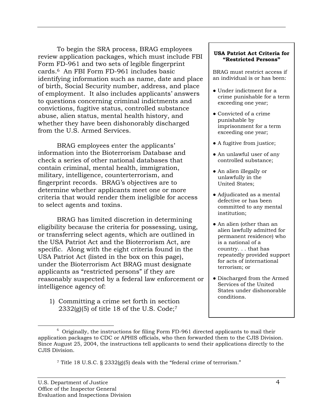To begin the SRA process, BRAG employees review application packages, which must include FBI Form FD-961 and two sets of legible fingerprint cards.[6](#page-7-0) An FBI Form FD-961 includes basic identifying information such as name, date and place of birth, Social Security number, address, and place of employment. It also includes applicants' answers to questions concerning criminal indictments and convictions, fugitive status, controlled substance abuse, alien status, mental health history, and whether they have been dishonorably discharged from the U.S. Armed Services.

BRAG employees enter the applicants' information into the Bioterrorism Database and check a series of other national databases that contain criminal, mental health, immigration, military, intelligence, counterterrorism, and fingerprint records. BRAG's objectives are to determine whether applicants meet one or more criteria that would render them ineligible for access to select agents and toxins.

BRAG has limited discretion in determining eligibility because the criteria for possessing, using, or transferring select agents, which are outlined in the USA Patriot Act and the Bioterrorism Act, are specific. Along with the eight criteria found in the USA Patriot Act (listed in the box on this page), under the Bioterrorism Act BRAG must designate applicants as "restricted persons" if they are reasonably suspected by a federal law enforcement or intelligence agency of:

1) Committing a crime set forth in section  $2332(g)(5)$  of title 18 of the U.S. Code;<sup>7</sup>

#### **USA Patriot Act Criteria for "Restricted Persons"**

BRAG must restrict access if an individual is or has been:

- Under indictment for a crime punishable for a term exceeding one year;
- Convicted of a crime punishable by imprisonment for a term exceeding one year;
- A fugitive from justice;
- An unlawful user of any controlled substance;
- An alien illegally or unlawfully in the United States;
- Adjudicated as a mental defective or has been committed to any mental institution;
- An alien (other than an alien lawfully admitted for permanent residence) who is a national of a country. . . that has repeatedly provided support for acts of international terrorism; or
- Discharged from the Armed Services of the United States under dishonorable conditions.

<span id="page-7-1"></span><sup>7</sup> Title 18 U.S.C. § 2332(g)(5) deals with the "federal crime of terrorism."

<span id="page-7-0"></span><sup>6</sup>  $6$  Originally, the instructions for filing Form FD-961 directed applicants to mail their application packages to CDC or APHIS officials, who then forwarded them to the CJIS Division. Since August 25, 2004, the instructions tell applicants to send their applications directly to the CJIS Division.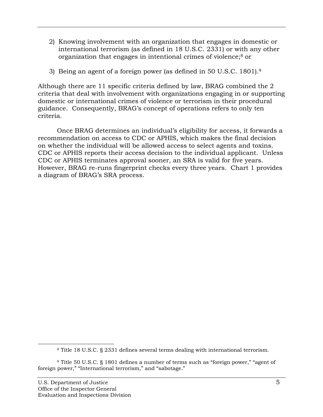- 2) Knowing involvement with an organization that engages in domestic or international terrorism (as defined in 18 U.S.C. 2331) or with any other organization that engages in intentional crimes of violence[;8](#page-8-0) or
- 3) Being an agent of a foreign power (as defined in 50 U.S.C. 1801).[9](#page-8-1)

Although there are 11 specific criteria defined by law, BRAG combined the 2 criteria that deal with involvement with organizations engaging in or supporting domestic or international crimes of violence or terrorism in their procedural guidance. Consequently, BRAG's concept of operations refers to only ten criteria.

Once BRAG determines an individual's eligibility for access, it forwards a recommendation on access to CDC or APHIS, which makes the final decision on whether the individual will be allowed access to select agents and toxins. CDC or APHIS reports their access decision to the individual applicant. Unless CDC or APHIS terminates approval sooner, an SRA is valid for five years. However, BRAG re-runs fingerprint checks every three years. Chart 1 provides a diagram of BRAG's SRA process.

÷,

<span id="page-8-1"></span><span id="page-8-0"></span><sup>8</sup> Title 18 U.S.C. § 2331 defines several terms dealing with international terrorism.

<sup>9</sup> Title 50 U.S.C. § 1801 defines a number of terms such as "foreign power," "agent of foreign power," "International terrorism," and "sabotage."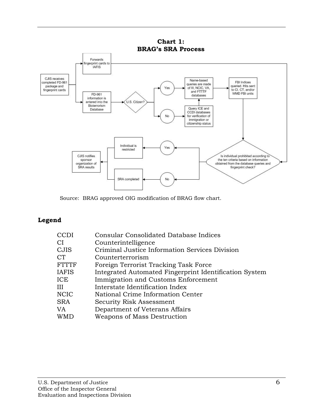

Source: BRAG approved OIG modification of BRAG flow chart.

# **Legend**

| CCDI  | <b>Consular Consolidated Database Indices</b>          |
|-------|--------------------------------------------------------|
| СI    | Counterintelligence                                    |
| CJIS  | Criminal Justice Information Services Division         |
| CT    | Counterterrorism                                       |
| FTTTF | Foreign Terrorist Tracking Task Force                  |
| IAFIS | Integrated Automated Fingerprint Identification System |
| ICE   | Immigration and Customs Enforcement                    |
| Ш     | Interstate Identification Index                        |
| NCIC  | National Crime Information Center                      |
| SRA   | Security Risk Assessment                               |
| VA    | Department of Veterans Affairs                         |
| WMD   | Weapons of Mass Destruction                            |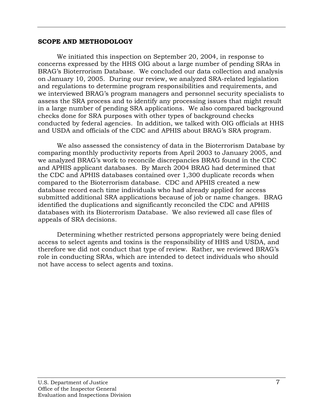### <span id="page-10-0"></span>**SCOPE AND METHODOLOGY**

We initiated this inspection on September 20, 2004, in response to concerns expressed by the HHS OIG about a large number of pending SRAs in BRAG's Bioterrorism Database. We concluded our data collection and analysis on January 10, 2005. During our review, we analyzed SRA-related legislation and regulations to determine program responsibilities and requirements, and we interviewed BRAG's program managers and personnel security specialists to assess the SRA process and to identify any processing issues that might result in a large number of pending SRA applications. We also compared background checks done for SRA purposes with other types of background checks conducted by federal agencies. In addition, we talked with OIG officials at HHS and USDA and officials of the CDC and APHIS about BRAG's SRA program.

We also assessed the consistency of data in the Bioterrorism Database by comparing monthly productivity reports from April 2003 to January 2005, and we analyzed BRAG's work to reconcile discrepancies BRAG found in the CDC and APHIS applicant databases. By March 2004 BRAG had determined that the CDC and APHIS databases contained over 1,300 duplicate records when compared to the Bioterrorism database. CDC and APHIS created a new database record each time individuals who had already applied for access submitted additional SRA applications because of job or name changes. BRAG identified the duplications and significantly reconciled the CDC and APHIS databases with its Bioterrorism Database. We also reviewed all case files of appeals of SRA decisions.

Determining whether restricted persons appropriately were being denied access to select agents and toxins is the responsibility of HHS and USDA, and therefore we did not conduct that type of review. Rather, we reviewed BRAG's role in conducting SRAs, which are intended to detect individuals who should not have access to select agents and toxins.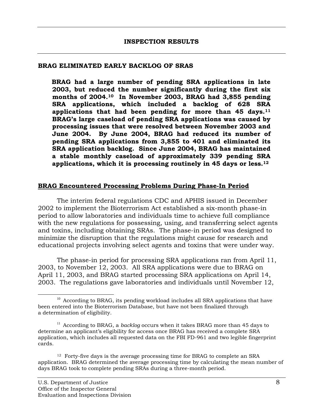#### <span id="page-11-0"></span>**BRAG ELIMINATED EARLY BACKLOG OF SRAS**

**BRAG had a large number of pending SRA applications in late 2003, but reduced the number significantly during the first six months of 2004.[10](#page-11-1) In November 2003, BRAG had 3,855 pending SRA applications, which included a backlog of 628 SRA applications that had been pending for more than 45 days.[11](#page-11-2)  BRAG's large caseload of pending SRA applications was caused by processing issues that were resolved between November 2003 and June 2004. By June 2004, BRAG had reduced its number of pending SRA applications from 3,855 to 401 and eliminated its SRA application backlog. Since June 2004, BRAG has maintained a stable monthly caseload of approximately 339 pending SRA applications, which it is processing routinely in 45 days or less.[12](#page-11-3)**

#### **BRAG Encountered Processing Problems During Phase-In Period**

The interim federal regulations CDC and APHIS issued in December 2002 to implement the Bioterrorism Act established a six-month phase-in period to allow laboratories and individuals time to achieve full compliance with the new regulations for possessing, using, and transferring select agents and toxins, including obtaining SRAs. The phase-in period was designed to minimize the disruption that the regulations might cause for research and educational projects involving select agents and toxins that were under way.

The phase-in period for processing SRA applications ran from April 11, 2003, to November 12, 2003. All SRA applications were due to BRAG on April 11, 2003, and BRAG started processing SRA applications on April 14, 2003. The regulations gave laboratories and individuals until November 12,

<span id="page-11-1"></span> $10$  According to BRAG, its pending workload includes all SRA applications that have been entered into the Bioterrorism Database, but have not been finalized through a determination of eligibility.

<span id="page-11-2"></span><sup>&</sup>lt;sup>11</sup> According to BRAG, a *backlog* occurs when it takes BRAG more than 45 days to determine an applicant's eligibility for access once BRAG has received a complete SRA application, which includes all requested data on the FBI FD-961 and two legible fingerprint cards.

<span id="page-11-3"></span><sup>&</sup>lt;sup>12</sup> Forty-five days is the average processing time for BRAG to complete an SRA application. BRAG determined the average processing time by calculating the mean number of days BRAG took to complete pending SRAs during a three-month period.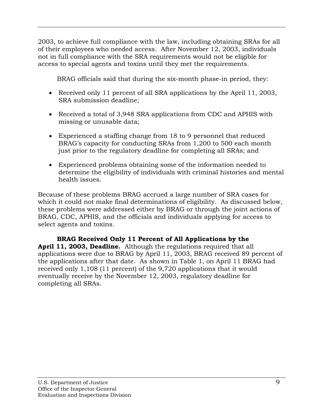2003, to achieve full compliance with the law, including obtaining SRAs for all of their employees who needed access. After November 12, 2003, individuals not in full compliance with the SRA requirements would not be eligible for access to special agents and toxins until they met the requirements.

BRAG officials said that during the six-month phase-in period, they:

- Received only 11 percent of all SRA applications by the April 11, 2003, SRA submission deadline;
- Received a total of 3,948 SRA applications from CDC and APHIS with missing or unusable data;
- Experienced a staffing change from 18 to 9 personnel that reduced BRAG's capacity for conducting SRAs from 1,200 to 500 each month just prior to the regulatory deadline for completing all SRAs; and
- Experienced problems obtaining some of the information needed to determine the eligibility of individuals with criminal histories and mental health issues.

Because of these problems BRAG accrued a large number of SRA cases for which it could not make final determinations of eligibility. As discussed below, these problems were addressed either by BRAG or through the joint actions of BRAG, CDC, APHIS, and the officials and individuals applying for access to select agents and toxins.

**BRAG Received Only 11 Percent of All Applications by the April 11, 2003, Deadline.** Although the regulations required that all applications were due to BRAG by April 11, 2003, BRAG received 89 percent of the applications after that date. As shown in Table 1, on April 11 BRAG had received only 1,108 (11 percent) of the 9,720 applications that it would eventually receive by the November 12, 2003, regulatory deadline for completing all SRAs.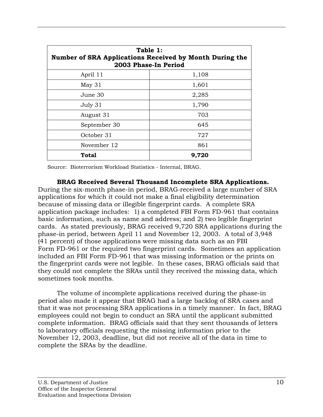| Table 1:<br>Number of SRA Applications Received by Month During the<br>2003 Phase-In Period |       |  |  |  |  |
|---------------------------------------------------------------------------------------------|-------|--|--|--|--|
| April 11                                                                                    | 1,108 |  |  |  |  |
| May 31                                                                                      | 1,601 |  |  |  |  |
| June 30                                                                                     | 2,285 |  |  |  |  |
| July 31                                                                                     | 1,790 |  |  |  |  |
| August 31                                                                                   | 703   |  |  |  |  |
| September 30                                                                                | 645   |  |  |  |  |
| October 31                                                                                  | 727   |  |  |  |  |
| November 12                                                                                 | 861   |  |  |  |  |
| Total                                                                                       | 9,720 |  |  |  |  |

Source: Bioterrorism Workload Statistics - Internal, BRAG.

**BRAG Received Several Thousand Incomplete SRA Applications.**  During the six-month phase-in period, BRAG-received a large number of SRA applications for which it could not make a final eligibility determination because of missing data or illegible fingerprint cards. A complete SRA application package includes: 1) a completed FBI Form FD-961 that contains basic information, such as name and address; and 2) two legible fingerprint cards. As stated previously, BRAG received 9,720 SRA applications during the phase-in period, between April 11 and November 12, 2003. A total of 3,948 (41 percent) of those applications were missing data such as an FBI Form FD-961 or the required two fingerprint cards. Sometimes an application included an FBI Form FD-961 that was missing information or the prints on the fingerprint cards were not legible. In these cases, BRAG officials said that they could not complete the SRAs until they received the missing data, which sometimes took months.

The volume of incomplete applications received during the phase-in period also made it appear that BRAG had a large backlog of SRA cases and that it was not processing SRA applications in a timely manner. In fact, BRAG employees could not begin to conduct an SRA until the applicant submitted complete information. BRAG officials said that they sent thousands of letters to laboratory officials requesting the missing information prior to the November 12, 2003, deadline, but did not receive all of the data in time to complete the SRAs by the deadline.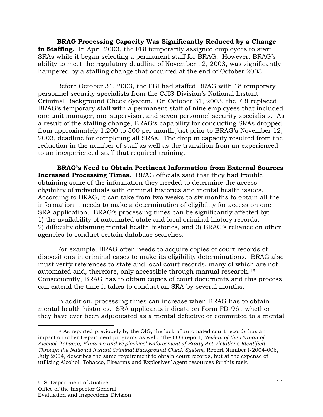**BRAG Processing Capacity Was Significantly Reduced by a Change**  in Staffing. In April 2003, the FBI temporarily assigned employees to start SRAs while it began selecting a permanent staff for BRAG. However, BRAG's ability to meet the regulatory deadline of November 12, 2003, was significantly hampered by a staffing change that occurred at the end of October 2003.

Before October 31, 2003, the FBI had staffed BRAG with 18 temporary personnel security specialists from the CJIS Division's National Instant Criminal Background Check System. On October 31, 2003, the FBI replaced BRAG's temporary staff with a permanent staff of nine employees that included one unit manager, one supervisor, and seven personnel security specialists. As a result of the staffing change, BRAG's capability for conducting SRAs dropped from approximately 1,200 to 500 per month just prior to BRAG's November 12, 2003, deadline for completing all SRAs. The drop in capacity resulted from the reduction in the number of staff as well as the transition from an experienced to an inexperienced staff that required training.

**BRAG's Need to Obtain Pertinent Information from External Sources Increased Processing Times.** BRAG officials said that they had trouble obtaining some of the information they needed to determine the access eligibility of individuals with criminal histories and mental health issues. According to BRAG, it can take from two weeks to six months to obtain all the information it needs to make a determination of eligibility for access on one SRA application. BRAG's processing times can be significantly affected by: 1) the availability of automated state and local criminal history records, 2) difficulty obtaining mental health histories, and 3) BRAG's reliance on other agencies to conduct certain database searches.

For example, BRAG often needs to acquire copies of court records of dispositions in criminal cases to make its eligibility determinations. BRAG also must verify references to state and local court records, many of which are not automated and, therefore, only accessible through manual research[.13](#page-14-0)  Consequently, BRAG has to obtain copies of court documents and this process can extend the time it takes to conduct an SRA by several months.

In addition, processing times can increase when BRAG has to obtain mental health histories. SRA applicants indicate on Form FD-961 whether they have ever been adjudicated as a mental defective or committed to a mental

<span id="page-14-0"></span><sup>÷,</sup> 13 As reported previously by the OIG, the lack of automated court records has an impact on other Department programs as well. The OIG report, *Review of the Bureau of Alcohol, Tobacco, Firearms and Explosives' Enforcement of Brady Act Violations Identified Through the National Instant Criminal Background Check System,* Report Number I-2004-006, July 2004, describes the same requirement to obtain court records, but at the expense of utilizing Alcohol, Tobacco, Firearms and Explosives' agent resources for this task.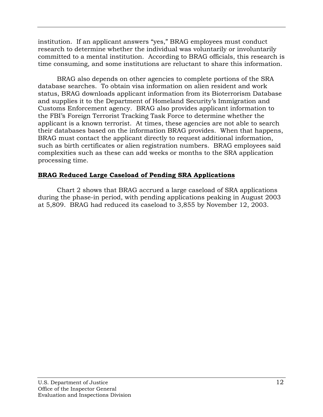institution. If an applicant answers "yes," BRAG employees must conduct research to determine whether the individual was voluntarily or involuntarily committed to a mental institution. According to BRAG officials, this research is time consuming, and some institutions are reluctant to share this information.

BRAG also depends on other agencies to complete portions of the SRA database searches. To obtain visa information on alien resident and work status, BRAG downloads applicant information from its Bioterrorism Database and supplies it to the Department of Homeland Security's Immigration and Customs Enforcement agency. BRAG also provides applicant information to the FBI's Foreign Terrorist Tracking Task Force to determine whether the applicant is a known terrorist. At times, these agencies are not able to search their databases based on the information BRAG provides. When that happens, BRAG must contact the applicant directly to request additional information, such as birth certificates or alien registration numbers. BRAG employees said complexities such as these can add weeks or months to the SRA application processing time.

# **BRAG Reduced Large Caseload of Pending SRA Applications**

Chart 2 shows that BRAG accrued a large caseload of SRA applications during the phase-in period, with pending applications peaking in August 2003 at 5,809. BRAG had reduced its caseload to 3,855 by November 12, 2003.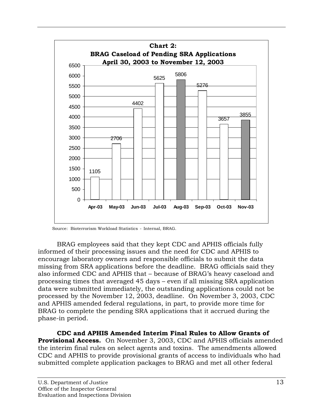

Source: Bioterrorism Workload Statistics - Internal, BRAG.

BRAG employees said that they kept CDC and APHIS officials fully informed of their processing issues and the need for CDC and APHIS to encourage laboratory owners and responsible officials to submit the data missing from SRA applications before the deadline. BRAG officials said they also informed CDC and APHIS that – because of BRAG's heavy caseload and processing times that averaged 45 days – even if all missing SRA application data were submitted immediately, the outstanding applications could not be processed by the November 12, 2003, deadline. On November 3, 2003, CDC and APHIS amended federal regulations, in part, to provide more time for BRAG to complete the pending SRA applications that it accrued during the phase-in period.

**CDC and APHIS Amended Interim Final Rules to Allow Grants of Provisional Access.** On November 3, 2003, CDC and APHIS officials amended the interim final rules on select agents and toxins. The amendments allowed CDC and APHIS to provide provisional grants of access to individuals who had submitted complete application packages to BRAG and met all other federal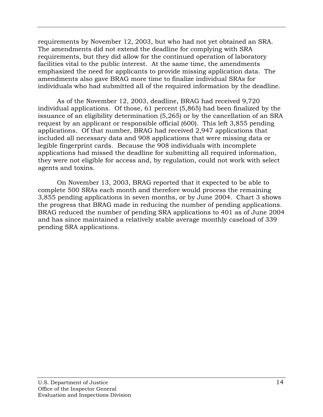requirements by November 12, 2003, but who had not yet obtained an SRA. The amendments did not extend the deadline for complying with SRA requirements, but they did allow for the continued operation of laboratory facilities vital to the public interest. At the same time, the amendments emphasized the need for applicants to provide missing application data. The amendments also gave BRAG more time to finalize individual SRAs for individuals who had submitted all of the required information by the deadline.

As of the November 12, 2003, deadline, BRAG had received 9,720 individual applications. Of those, 61 percent (5,865) had been finalized by the issuance of an eligibility determination (5,265) or by the cancellation of an SRA request by an applicant or responsible official (600). This left 3,855 pending applications. Of that number, BRAG had received 2,947 applications that included all necessary data and 908 applications that were missing data or legible fingerprint cards. Because the 908 individuals with incomplete applications had missed the deadline for submitting all required information, they were not eligible for access and, by regulation, could not work with select agents and toxins.

On November 13, 2003, BRAG reported that it expected to be able to complete 500 SRAs each month and therefore would process the remaining 3,855 pending applications in seven months, or by June 2004. Chart 3 shows the progress that BRAG made in reducing the number of pending applications. BRAG reduced the number of pending SRA applications to 401 as of June 2004 and has since maintained a relatively stable average monthly caseload of 339 pending SRA applications.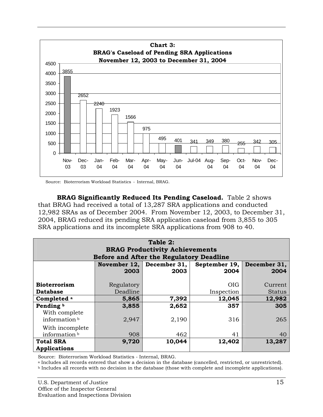

Source: Bioterrorism Workload Statistics - Internal, BRAG.

**BRAG Significantly Reduced Its Pending Caseload.** Table 2 shows that BRAG had received a total of 13,287 SRA applications and conducted 12,982 SRAs as of December 2004. From November 12, 2003, to December 31, 2004, BRAG reduced its pending SRA application caseload from 3,855 to 305 SRA applications and its incomplete SRA applications from 908 to 40.

| Table 2:<br><b>BRAG Productivity Achievements</b><br>Before and After the Regulatory Deadline |            |                           |               |               |  |  |  |  |
|-----------------------------------------------------------------------------------------------|------------|---------------------------|---------------|---------------|--|--|--|--|
|                                                                                               |            | November 12, December 31, | September 19, | December 31,  |  |  |  |  |
|                                                                                               | 2003       | 2003                      | 2004          | 2004          |  |  |  |  |
| <b>Bioterrorism</b>                                                                           | Regulatory |                           | <b>OIG</b>    | Current       |  |  |  |  |
| <b>Database</b>                                                                               | Deadline   |                           | Inspection    | <b>Status</b> |  |  |  |  |
| Completed <sup>a</sup>                                                                        | 5,865      | 7,392                     | 12,045        | 12,982        |  |  |  |  |
| Pending <sup>b</sup>                                                                          | 3,855      | 2,652                     | 357           | 305           |  |  |  |  |
| With complete<br>information <sup>b</sup>                                                     | 2,947      | 2,190                     | 316           | 265           |  |  |  |  |
| With incomplete<br>information b                                                              | 908        | 462                       | 41            | 40            |  |  |  |  |
| <b>Total SRA</b>                                                                              | 9,720      | 10,044                    | 12,402        | 13,287        |  |  |  |  |
| <b>Applications</b>                                                                           |            |                           |               |               |  |  |  |  |

Source: Bioterrorism Workload Statistics - Internal, BRAG.

a Includes all records entered that show a decision in the database (cancelled, restricted, or unrestricted).<br>b Includes all records with no decision in the database (those with complete and incomplete applications).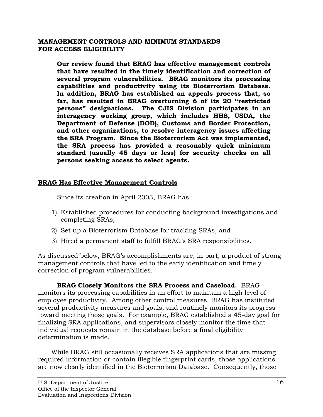### <span id="page-19-0"></span>**MANAGEMENT CONTROLS AND MINIMUM STANDARDS FOR ACCESS ELIGIBILITY**

**Our review found that BRAG has effective management controls that have resulted in the timely identification and correction of several program vulnerabilities. BRAG monitors its processing capabilities and productivity using its Bioterrorism Database. In addition, BRAG has established an appeals process that, so far, has resulted in BRAG overturning 6 of its 20 "restricted persons" designations. The CJIS Division participates in an interagency working group, which includes HHS, USDA, the Department of Defense (DOD), Customs and Border Protection, and other organizations, to resolve interagency issues affecting the SRA Program***.* **Since the Bioterrorism Act was implemented, the SRA process has provided a reasonably quick minimum standard (usually 45 days or less) for security checks on all persons seeking access to select agents.**

## **BRAG Has Effective Management Controls**

Since its creation in April 2003, BRAG has:

- 1) Established procedures for conducting background investigations and completing SRAs,
- 2) Set up a Bioterrorism Database for tracking SRAs, and
- 3) Hired a permanent staff to fulfill BRAG's SRA responsibilities.

As discussed below, BRAG's accomplishments are, in part, a product of strong management controls that have led to the early identification and timely correction of program vulnerabilities.

## **BRAG Closely Monitors the SRA Process and Caseload.** BRAG

monitors its processing capabilities in an effort to maintain a high level of employee productivity. Among other control measures, BRAG has instituted several productivity measures and goals, and routinely monitors its progress toward meeting those goals. For example, BRAG established a 45-day goal for finalizing SRA applications, and supervisors closely monitor the time that individual requests remain in the database before a final eligibility determination is made.

While BRAG still occasionally receives SRA applications that are missing required information or contain illegible fingerprint cards, those applications are now clearly identified in the Bioterrorism Database. Consequently, those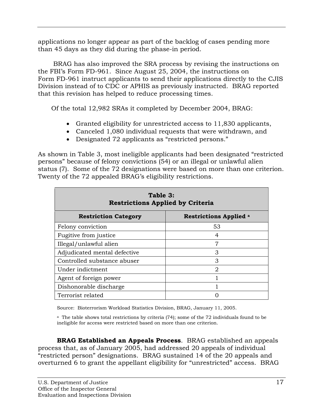applications no longer appear as part of the backlog of cases pending more than 45 days as they did during the phase-in period.

 BRAG has also improved the SRA process by revising the instructions on the FBI's Form FD-961. Since August 25, 2004, the instructions on Form FD-961 instruct applicants to send their applications directly to the CJIS Division instead of to CDC or APHIS as previously instructed. BRAG reported that this revision has helped to reduce processing times.

Of the total 12,982 SRAs it completed by December 2004, BRAG:

- Granted eligibility for unrestricted access to 11,830 applicants,
- Canceled 1,080 individual requests that were withdrawn, and
- Designated 72 applicants as "restricted persons."

As shown in Table 3, most ineligible applicants had been designated "restricted persons" because of felony convictions (54) or an illegal or unlawful alien status (7). Some of the 72 designations were based on more than one criterion. Twenty of the 72 appealed BRAG's eligibility restrictions.

| Table 3:<br><b>Restrictions Applied by Criteria</b> |                               |  |  |  |  |
|-----------------------------------------------------|-------------------------------|--|--|--|--|
| <b>Restriction Category</b>                         | <b>Restrictions Applied a</b> |  |  |  |  |
| Felony conviction                                   | 53                            |  |  |  |  |
| Fugitive from justice                               | 4                             |  |  |  |  |
| Illegal/unlawful alien                              | 7                             |  |  |  |  |
| Adjudicated mental defective                        | 3                             |  |  |  |  |
| Controlled substance abuser                         | 3                             |  |  |  |  |
| Under indictment                                    | 2                             |  |  |  |  |
| Agent of foreign power                              |                               |  |  |  |  |
| Dishonorable discharge                              |                               |  |  |  |  |
| Terrorist related                                   |                               |  |  |  |  |

Source: Bioterrorism Workload Statistics Division, BRAG, January 11, 2005.

a The table shows total restrictions by criteria (74); some of the 72 individuals found to be ineligible for access were restricted based on more than one criterion.

**BRAG Established an Appeals Process**. BRAG established an appeals process that, as of January 2005, had addressed 20 appeals of individual "restricted person" designations. BRAG sustained 14 of the 20 appeals and overturned 6 to grant the appellant eligibility for "unrestricted" access. BRAG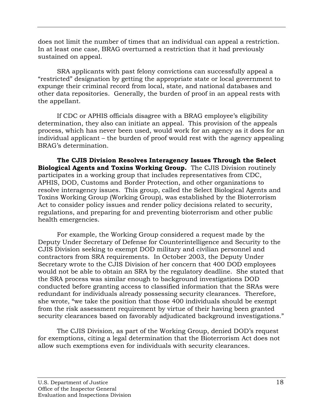does not limit the number of times that an individual can appeal a restriction. In at least one case, BRAG overturned a restriction that it had previously sustained on appeal.

SRA applicants with past felony convictions can successfully appeal a "restricted" designation by getting the appropriate state or local government to expunge their criminal record from local, state, and national databases and other data repositories. Generally, the burden of proof in an appeal rests with the appellant.

If CDC or APHIS officials disagree with a BRAG employee's eligibility determination, they also can initiate an appeal. This provision of the appeals process, which has never been used, would work for an agency as it does for an individual applicant – the burden of proof would rest with the agency appealing BRAG's determination.

**The CJIS Division Resolves Interagency Issues Through the Select Biological Agents and Toxins Working Group.** The CJIS Division routinely participates in a working group that includes representatives from CDC, APHIS, DOD, Customs and Border Protection, and other organizations to resolve interagency issues. This group, called the Select Biological Agents and Toxins Working Group (Working Group), was established by the Bioterrorism Act to consider policy issues and render policy decisions related to security, regulations, and preparing for and preventing bioterrorism and other public health emergencies.

For example, the Working Group considered a request made by the Deputy Under Secretary of Defense for Counterintelligence and Security to the CJIS Division seeking to exempt DOD military and civilian personnel and contractors from SRA requirements. In October 2003, the Deputy Under Secretary wrote to the CJIS Division of her concern that 400 DOD employees would not be able to obtain an SRA by the regulatory deadline. She stated that the SRA process was similar enough to background investigations DOD conducted before granting access to classified information that the SRAs were redundant for individuals already possessing security clearances. Therefore, she wrote, "we take the position that those 400 individuals should be exempt from the risk assessment requirement by virtue of their having been granted security clearances based on favorably adjudicated background investigations."

The CJIS Division, as part of the Working Group, denied DOD's request for exemptions, citing a legal determination that the Bioterrorism Act does not allow such exemptions even for individuals with security clearances.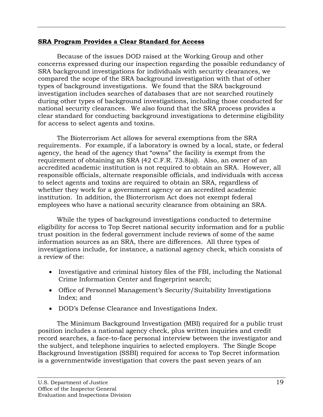## **SRA Program Provides a Clear Standard for Access**

Because of the issues DOD raised at the Working Group and other concerns expressed during our inspection regarding the possible redundancy of SRA background investigations for individuals with security clearances, we compared the scope of the SRA background investigation with that of other types of background investigations. We found that the SRA background investigation includes searches of databases that are not searched routinely during other types of background investigations, including those conducted for national security clearances. We also found that the SRA process provides a clear standard for conducting background investigations to determine eligibility for access to select agents and toxins.

The Bioterrorism Act allows for several exemptions from the SRA requirements. For example, if a laboratory is owned by a local, state, or federal agency, the head of the agency that "owns" the facility is exempt from the requirement of obtaining an SRA (42 C.F.R. 73.8(a)). Also, an owner of an accredited academic institution is not required to obtain an SRA. However, all responsible officials, alternate responsible officials, and individuals with access to select agents and toxins are required to obtain an SRA, regardless of whether they work for a government agency or an accredited academic institution. In addition, the Bioterrorism Act does not exempt federal employees who have a national security clearance from obtaining an SRA.

While the types of background investigations conducted to determine eligibility for access to Top Secret national security information and for a public trust position in the federal government include reviews of some of the same information sources as an SRA, there are differences. All three types of investigations include, for instance, a national agency check, which consists of a review of the:

- Investigative and criminal history files of the FBI, including the National Crime Information Center and fingerprint search;
- Office of Personnel Management's Security/Suitability Investigations Index; and
- DOD's Defense Clearance and Investigations Index.

The Minimum Background Investigation (MBI) required for a public trust position includes a national agency check, plus written inquiries and credit record searches, a face-to-face personal interview between the investigator and the subject, and telephone inquiries to selected employers. The Single Scope Background Investigation (SSBI) required for access to Top Secret information is a governmentwide investigation that covers the past seven years of an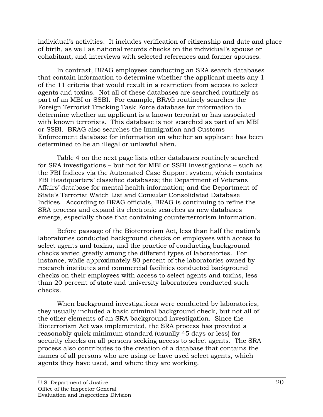individual's activities. It includes verification of citizenship and date and place of birth, as well as national records checks on the individual's spouse or cohabitant, and interviews with selected references and former spouses.

In contrast, BRAG employees conducting an SRA search databases that contain information to determine whether the applicant meets any 1 of the 11 criteria that would result in a restriction from access to select agents and toxins. Not all of these databases are searched routinely as part of an MBI or SSBI. For example, BRAG routinely searches the Foreign Terrorist Tracking Task Force database for information to determine whether an applicant is a known terrorist or has associated with known terrorists. This database is not searched as part of an MBI or SSBI. BRAG also searches the Immigration and Customs Enforcement database for information on whether an applicant has been determined to be an illegal or unlawful alien.

Table 4 on the next page lists other databases routinely searched for SRA investigations – but not for MBI or SSBI investigations – such as the FBI Indices via the Automated Case Support system, which contains FBI Headquarters' classified databases; the Department of Veterans Affairs' database for mental health information; and the Department of State's Terrorist Watch List and Consular Consolidated Database Indices. According to BRAG officials, BRAG is continuing to refine the SRA process and expand its electronic searches as new databases emerge, especially those that containing counterterrorism information.

Before passage of the Bioterrorism Act, less than half the nation's laboratories conducted background checks on employees with access to select agents and toxins, and the practice of conducting background checks varied greatly among the different types of laboratories. For instance, while approximately 80 percent of the laboratories owned by research institutes and commercial facilities conducted background checks on their employees with access to select agents and toxins, less than 20 percent of state and university laboratories conducted such checks.

When background investigations were conducted by laboratories, they usually included a basic criminal background check, but not all of the other elements of an SRA background investigation. Since the Bioterrorism Act was implemented, the SRA process has provided a reasonably quick minimum standard (usually 45 days or less) for security checks on all persons seeking access to select agents. The SRA process also contributes to the creation of a database that contains the names of all persons who are using or have used select agents, which agents they have used, and where they are working.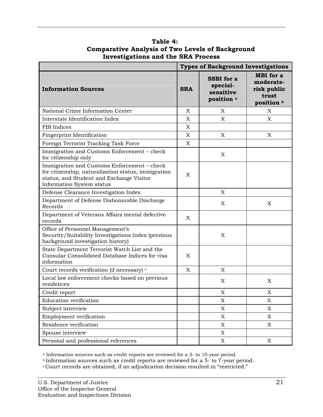|                                                                                                                                                                             | <b>Types of Background Investigations</b> |                                                                     |                                                                     |
|-----------------------------------------------------------------------------------------------------------------------------------------------------------------------------|-------------------------------------------|---------------------------------------------------------------------|---------------------------------------------------------------------|
| <b>Information Sources</b>                                                                                                                                                  | <b>SRA</b>                                | <b>SSBI</b> for a<br>special-<br>sensitive<br>position <sup>a</sup> | <b>MBI</b> for a<br>moderate-<br>risk public<br>trust<br>position b |
| National Crime Information Center                                                                                                                                           | X                                         | X                                                                   | X                                                                   |
| Interstate Identification Index                                                                                                                                             | X                                         | X                                                                   | X                                                                   |
| <b>FBI</b> Indices                                                                                                                                                          | X                                         |                                                                     |                                                                     |
| Fingerprint Identification                                                                                                                                                  | X                                         | X                                                                   | X                                                                   |
| Foreign Terrorist Tracking Task Force                                                                                                                                       | X                                         |                                                                     |                                                                     |
| Immigration and Customs Enforcement - check<br>for citizenship only                                                                                                         |                                           | X                                                                   |                                                                     |
| Immigration and Customs Enforcement - check<br>for citizenship, naturalization status, immigration<br>status, and Student and Exchange Visitor<br>Information System status | X                                         |                                                                     |                                                                     |
| Defense Clearance Investigation Index                                                                                                                                       |                                           | X                                                                   |                                                                     |
| Department of Defense Dishonorable Discharge<br>Records                                                                                                                     |                                           | X                                                                   | X                                                                   |
| Department of Veterans Affairs mental defective<br>records                                                                                                                  | X                                         |                                                                     |                                                                     |
| Office of Personnel Management's<br>Security/Suitability Investigations Index (previous<br>background investigation history)                                                |                                           | X                                                                   |                                                                     |
| State Department Terrorist Watch List and the<br>Consular Consolidated Database Indices for visa<br>information                                                             | X                                         |                                                                     |                                                                     |
| Court records verification (if necessary) c                                                                                                                                 | X                                         | X                                                                   |                                                                     |
| Local law enforcement checks based on previous<br>residences                                                                                                                |                                           | X                                                                   | X                                                                   |
| Credit report                                                                                                                                                               |                                           | X                                                                   | X                                                                   |
| Education verification                                                                                                                                                      |                                           | $\mathbf X$                                                         | X                                                                   |
| Subject interview                                                                                                                                                           |                                           | $\mathbf X$                                                         | X                                                                   |
| Employment verification                                                                                                                                                     |                                           | X                                                                   | $\boldsymbol{\mathrm{X}}$                                           |
| Residence verification                                                                                                                                                      |                                           | X                                                                   | X                                                                   |
| Spouse interview                                                                                                                                                            |                                           | $\mathbf X$                                                         |                                                                     |
| Personal and professional references                                                                                                                                        |                                           | $\mathbf X$                                                         | $\mathbf X$                                                         |

### **Table 4: Comparative Analysis of Two Levels of Background Investigations and the SRA Process**

<sup>a</sup> Information sources such as credit reports are reviewed for a 3- to 10-year period.

b Information sources such as credit reports are reviewed for a 5- to 7-year period.  $\cdot$  Court records are obtained, if an adjudication decision resulted in "restricted."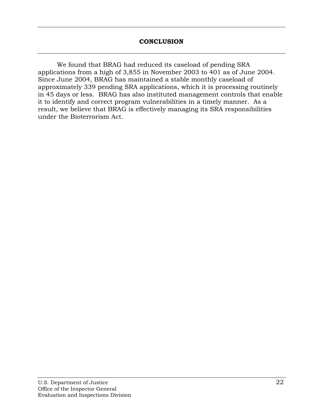<span id="page-25-0"></span>We found that BRAG had reduced its caseload of pending SRA applications from a high of 3,855 in November 2003 to 401 as of June 2004. Since June 2004, BRAG has maintained a stable monthly caseload of approximately 339 pending SRA applications, which it is processing routinely in 45 days or less. BRAG has also instituted management controls that enable it to identify and correct program vulnerabilities in a timely manner. As a result, we believe that BRAG is effectively managing its SRA responsibilities under the Bioterrorism Act.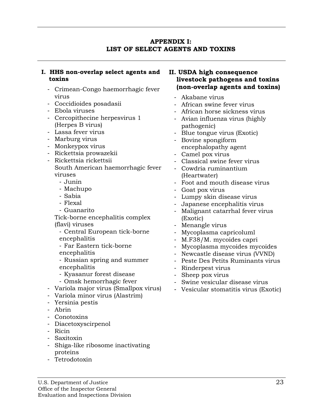### **APPENDIX I: LIST OF SELECT AGENTS AND TOXINS**

### <span id="page-26-0"></span>**I. HHS non-overlap select agents and toxins**

- Crimean-Congo haemorrhagic fever virus
- Coccidioides posadasii
- Ebola viruses
- Cercopithecine herpesvirus 1 (Herpes B virus)
- Lassa fever virus
- Marburg virus
- Monkeypox virus
- Rickettsia prowazekii
- Rickettsia rickettsii South American haemorrhagic fever viruses
	- Junin
	- Machupo
	- Sabia
	- Flexal
	- Guanarito

Tick-borne encephalitis complex (flavi) viruses

- Central European tick-borne encephalitis
- Far Eastern tick-borne encephalitis
- Russian spring and summer encephalitis
- Kyasanur forest disease
- Omsk hemorrhagic fever
- Variola major virus (Smallpox virus) Vesicular stomatitis virus (Exotic)
- Variola minor virus (Alastrim)
- Yersinia pestis
- Abrin
- Conotoxins
- Diacetoxyscirpenol
- Ricin
- Saxitoxin
- Shiga-like ribosome inactivating proteins
- Tetrodotoxin

## **II. USDA high consequence livestock pathogens and toxins (non-overlap agents and toxins)**

- Akabane virus
- African swine fever virus
- African horse sickness virus
- Avian influenza virus (highly pathogenic)
- Blue tongue virus (Exotic)
- Bovine spongiform
- encephalopathy agent
- Camel pox virus
- Classical swine fever virus
- Cowdria ruminantium (Heartwater)
- Foot and mouth disease virus
- Goat pox virus
- Lumpy skin disease virus
- Japanese encephalitis virus
- Malignant catarrhal fever virus (Exotic)
- Menangle virus
- Mycoplasma capricoluml
- M.F38/M. mycoides capri
- Mycoplasma mycoides mycoides
- Newcastle disease virus (VVND)
- Peste Des Petits Ruminants virus
- Rinderpest virus
- Sheep pox virus
- Swine vesicular disease virus
-